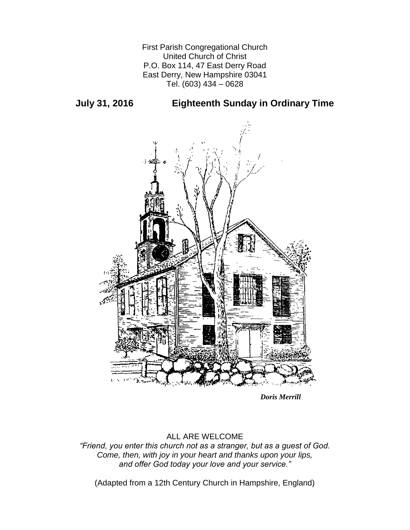First Parish Congregational Church United Church of Christ P.O. Box 114, 47 East Derry Road East Derry, New Hampshire 03041 Tel. (603) 434 – 0628

**July 31, 2016 Eighteenth Sunday in Ordinary Time**



*Doris Merrill*

# ALL ARE WELCOME

*"Friend, you enter this church not as a stranger, but as a guest of God. Come, then, with joy in your heart and thanks upon your lips, and offer God today your love and your service."*

(Adapted from a 12th Century Church in Hampshire, England)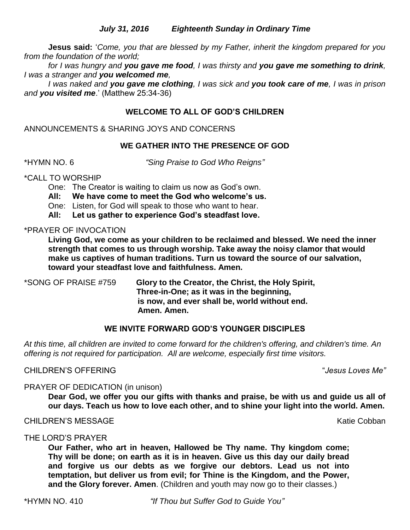## *July 31, 2016 Eighteenth Sunday in Ordinary Time*

**Jesus said:** '*Come, you that are blessed by my Father, inherit the kingdom prepared for you from the foundation of the world;* 

*for I was hungry and you gave me food, I was thirsty and you gave me something to drink, I was a stranger and you welcomed me,* 

*I was naked and you gave me clothing, I was sick and you took care of me, I was in prison and you visited me*.' (Matthew 25:34-36)

## **WELCOME TO ALL OF GOD'S CHILDREN**

ANNOUNCEMENTS & SHARING JOYS AND CONCERNS

## **WE GATHER INTO THE PRESENCE OF GOD**

\*HYMN NO. 6 *"Sing Praise to God Who Reigns"*

## \*CALL TO WORSHIP

One: The Creator is waiting to claim us now as God's own.

- **All: We have come to meet the God who welcome's us.**
- One: Listen, for God will speak to those who want to hear.

**All: Let us gather to experience God's steadfast love.**

### \*PRAYER OF INVOCATION

**Living God, we come as your children to be reclaimed and blessed. We need the inner strength that comes to us through worship. Take away the noisy clamor that would make us captives of human traditions. Turn us toward the source of our salvation, toward your steadfast love and faithfulness. Amen.**

\*SONG OF PRAISE #759 **Glory to the Creator, the Christ, the Holy Spirit, Three-in-One; as it was in the beginning, is now, and ever shall be, world without end. Amen. Amen.**

## **WE INVITE FORWARD GOD'S YOUNGER DISCIPLES**

*At this time, all children are invited to come forward for the children's offering, and children's time. An offering is not required for participation. All are welcome, especially first time visitors.*

## CHILDREN'S OFFERING "*Jesus Loves Me"*

## PRAYER OF DEDICATION (in unison)

**Dear God, we offer you our gifts with thanks and praise, be with us and guide us all of our days. Teach us how to love each other, and to shine your light into the world. Amen.**

### CHILDREN'S MESSAGE KATHOL AND THE SAN SERVICE OF THE SAN SERVICE OF THE SAN SERVICE OF THE SAN SERVICE OF THE SAN SERVICE OF THE SAN SERVICE OF THE SAN SERVICE OF THE SAN SERVICE OF THE SAN SERVICE OF THE SAN SERVICE OF TH

THE LORD'S PRAYER

**Our Father, who art in heaven, Hallowed be Thy name. Thy kingdom come; Thy will be done; on earth as it is in heaven. Give us this day our daily bread and forgive us our debts as we forgive our debtors. Lead us not into temptation, but deliver us from evil; for Thine is the Kingdom, and the Power, and the Glory forever. Amen**. (Children and youth may now go to their classes.)

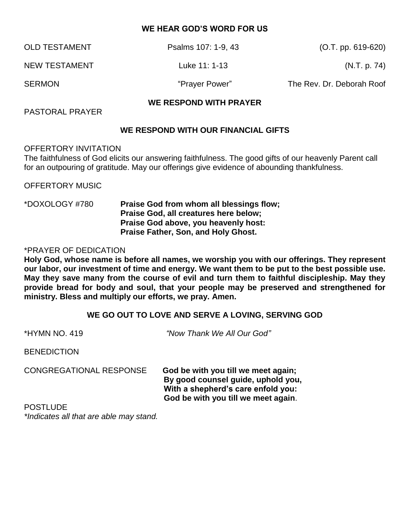### **WE HEAR GOD'S WORD FOR US**

| <b>OLD TESTAMENT</b> | Psalms 107: 1-9, 43 | $(O.T. pp. 619-620)$      |
|----------------------|---------------------|---------------------------|
| NEW TESTAMENT        | Luke 11: 1-13       | (N.T. p. 74)              |
| <b>SERMON</b>        | "Prayer Power"      | The Rev. Dr. Deborah Roof |

### **WE RESPOND WITH PRAYER**

PASTORAL PRAYER

### **WE RESPOND WITH OUR FINANCIAL GIFTS**

### OFFERTORY INVITATION

The faithfulness of God elicits our answering faithfulness. The good gifts of our heavenly Parent call for an outpouring of gratitude. May our offerings give evidence of abounding thankfulness.

OFFERTORY MUSIC

\*DOXOLOGY #780 **Praise God from whom all blessings flow; Praise God, all creatures here below; Praise God above, you heavenly host: Praise Father, Son, and Holy Ghost.**

#### \*PRAYER OF DEDICATION

**Holy God, whose name is before all names, we worship you with our offerings. They represent our labor, our investment of time and energy. We want them to be put to the best possible use. May they save many from the course of evil and turn them to faithful discipleship. May they provide bread for body and soul, that your people may be preserved and strengthened for ministry. Bless and multiply our efforts, we pray. Amen.**

#### **WE GO OUT TO LOVE AND SERVE A LOVING, SERVING GOD**

| *HYMN NO. 419                           | "Now Thank We All Our God"                                                                                                                             |  |
|-----------------------------------------|--------------------------------------------------------------------------------------------------------------------------------------------------------|--|
| <b>BENEDICTION</b>                      |                                                                                                                                                        |  |
| <b>CONGREGATIONAL RESPONSE</b>          | God be with you till we meet again;<br>By good counsel guide, uphold you,<br>With a shepherd's care enfold you:<br>God be with you till we meet again. |  |
| <b>POSTLUDE</b>                         |                                                                                                                                                        |  |
| *Indicates all that are able may stand. |                                                                                                                                                        |  |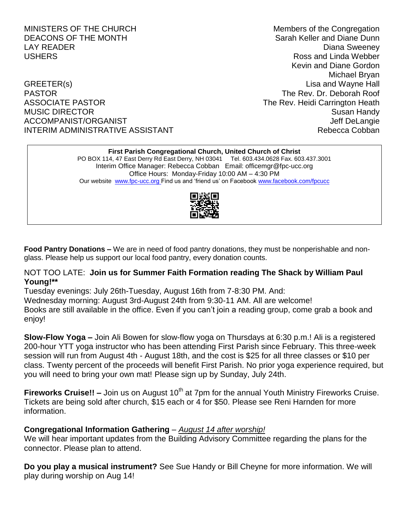GREETER(s) SERVICES AND THE CONSTRUCTION OF THE CONSTRUCTION CONSTRUCTION OF THE CONSTRUCTION OF THE CONSTRUCTION OF THE CONSTRUCTION OF THE CONSTRUCTION OF THE CONSTRUCTION OF THE CONSTRUCTION OF THE CONSTRUCTION OF THE C PASTOR The Rev. Dr. Deborah Roof ASSOCIATE PASTOR **The Rev. Heidi Carrington Heath** MUSIC DIRECTOR **Susan Handy** Susan Handy ACCOMPANIST/ORGANIST ACCOMPANIST ACCOMPANIST/ORGANIST INTERIM ADMINISTRATIVE ASSISTANT **Rebecca Cobban** 

MINISTERS OF THE CHURCH Members of the Congregation DEACONS OF THE MONTH SARAH SARAH SARAH Keller and Diane Dunn LAY READER **Example 2018** 2019 12:30 2019 2019 2021 2022 2023 2024 2022 2023 2024 2022 2023 2024 2022 2023 2024 20 USHERS Ross and Linda Webber Kevin and Diane Gordon Michael Bryan

# **First Parish Congregational Church, United Church of Christ** PO BOX 114, 47 East Derry Rd East Derry, NH 03041 Tel. 603.434.0628 Fax. 603.437.3001 Interim Office Manager: Rebecca Cobban Email: officemgr@fpc-ucc.org Office Hours: Monday-Friday 10:00 AM – 4:30 PM Our website [www.fpc-ucc.org](http://www.fpc-ucc.org/) Find us and 'friend us' on Faceboo[k www.facebook.com/fpcucc](http://www.facebook.com/fpcucc)



**Food Pantry Donations –** We are in need of food pantry donations, they must be nonperishable and nonglass. Please help us support our local food pantry, every donation counts.

## NOT TOO LATE: **Join us for Summer Faith Formation reading The Shack by William Paul Young!\*\***

Tuesday evenings: July 26th-Tuesday, August 16th from 7-8:30 PM. And: Wednesday morning: August 3rd-August 24th from 9:30-11 AM. All are welcome! Books are still available in the office. Even if you can't join a reading group, come grab a book and enjoy!

**Slow-Flow Yoga –** Join Ali Bowen for slow-flow yoga on Thursdays at 6:30 p.m.! Ali is a registered 200-hour YTT yoga instructor who has been attending First Parish since February. This three-week session will run from August 4th - August 18th, and the cost is \$25 for all three classes or \$10 per class. Twenty percent of the proceeds will benefit First Parish. No prior yoga experience required, but you will need to bring your own mat! Please sign up by Sunday, July 24th.

**Fireworks Cruise!!** – Join us on August 10<sup>th</sup> at 7pm for the annual Youth Ministry Fireworks Cruise. Tickets are being sold after church, \$15 each or 4 for \$50. Please see Reni Harnden for more information.

# **Congregational Information Gathering** – *August 14 after worship!*

We will hear important updates from the Building Advisory Committee regarding the plans for the connector. Please plan to attend.

**Do you play a musical instrument?** See Sue Handy or Bill Cheyne for more information. We will play during worship on Aug 14!